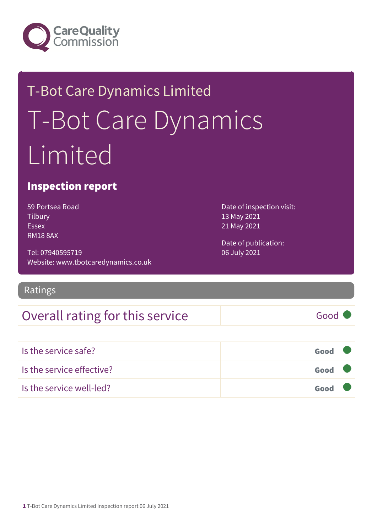

# T-Bot Care Dynamics Limited T-Bot Care Dynamics Limited

### Inspection report

59 Portsea Road **Tilbury** Essex RM18 8AX

Tel: 07940595719 Website: www.tbotcaredynamics.co.uk

Ratings

### Overall rating for this service Good

Is the service safe? Good Is the service effective? Contact the service effective? Is the service well-led? Good

Date of inspection visit: 13 May 2021 21 May 2021

Date of publication: 06 July 2021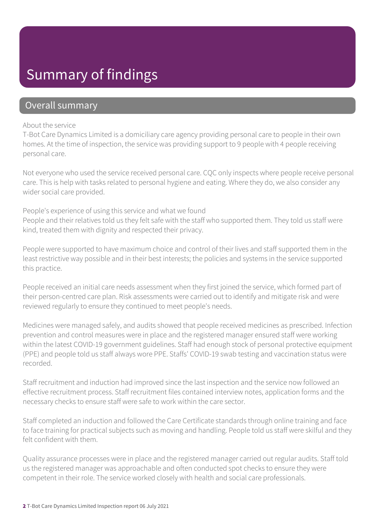### Summary of findings

### Overall summary

#### About the service

T-Bot Care Dynamics Limited is a domiciliary care agency providing personal care to people in their own homes. At the time of inspection, the service was providing support to 9 people with 4 people receiving personal care.

Not everyone who used the service received personal care. CQC only inspects where people receive personal care. This is help with tasks related to personal hygiene and eating. Where they do, we also consider any wider social care provided.

People's experience of using this service and what we found People and their relatives told us they felt safe with the staff who supported them. They told us staff were kind, treated them with dignity and respected their privacy.

People were supported to have maximum choice and control of their lives and staff supported them in the least restrictive way possible and in their best interests; the policies and systems in the service supported this practice.

People received an initial care needs assessment when they first joined the service, which formed part of their person-centred care plan. Risk assessments were carried out to identify and mitigate risk and were reviewed regularly to ensure they continued to meet people's needs.

Medicines were managed safely, and audits showed that people received medicines as prescribed. Infection prevention and control measures were in place and the registered manager ensured staff were working within the latest COVID-19 government guidelines. Staff had enough stock of personal protective equipment (PPE) and people told us staff always wore PPE. Staffs' COVID-19 swab testing and vaccination status were recorded.

Staff recruitment and induction had improved since the last inspection and the service now followed an effective recruitment process. Staff recruitment files contained interview notes, application forms and the necessary checks to ensure staff were safe to work within the care sector.

Staff completed an induction and followed the Care Certificate standards through online training and face to face training for practical subjects such as moving and handling. People told us staff were skilful and they felt confident with them.

Quality assurance processes were in place and the registered manager carried out regular audits. Staff told us the registered manager was approachable and often conducted spot checks to ensure they were competent in their role. The service worked closely with health and social care professionals.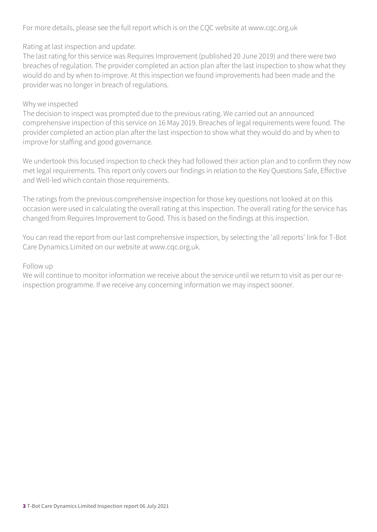For more details, please see the full report which is on the CQC website at www.cqc.org.uk

Rating at last inspection and update:

The last rating for this service was Requires Improvement (published 20 June 2019) and there were two breaches of regulation. The provider completed an action plan after the last inspection to show what they would do and by when to improve. At this inspection we found improvements had been made and the provider was no longer in breach of regulations.

#### Why we inspected

The decision to inspect was prompted due to the previous rating. We carried out an announced comprehensive inspection of this service on 16 May 2019. Breaches of legal requirements were found. The provider completed an action plan after the last inspection to show what they would do and by when to improve for staffing and good governance.

We undertook this focused inspection to check they had followed their action plan and to confirm they now met legal requirements. This report only covers our findings in relation to the Key Questions Safe, Effective and Well-led which contain those requirements.

The ratings from the previous comprehensive inspection for those key questions not looked at on this occasion were used in calculating the overall rating at this inspection. The overall rating for the service has changed from Requires Improvement to Good. This is based on the findings at this inspection.

You can read the report from our last comprehensive inspection, by selecting the 'all reports' link for T-Bot Care Dynamics Limited on our website at www.cqc.org.uk.

#### Follow up

We will continue to monitor information we receive about the service until we return to visit as per our reinspection programme. If we receive any concerning information we may inspect sooner.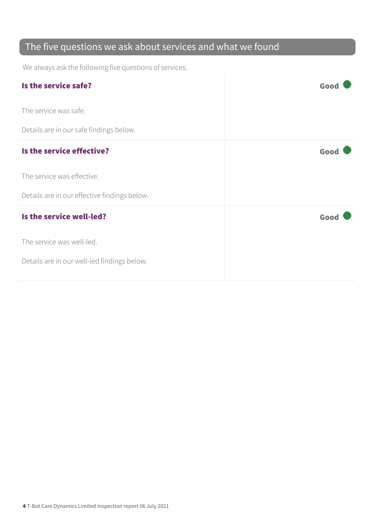### The five questions we ask about services and what we found

We always ask the following five questions of services.

| Is the service safe?                         | Good |
|----------------------------------------------|------|
| The service was safe.                        |      |
| Details are in our safe findings below.      |      |
| Is the service effective?                    | Good |
| The service was effective.                   |      |
| Details are in our effective findings below. |      |
| Is the service well-led?                     | Good |
| The service was well-led.                    |      |
| Details are in our well-led findings below.  |      |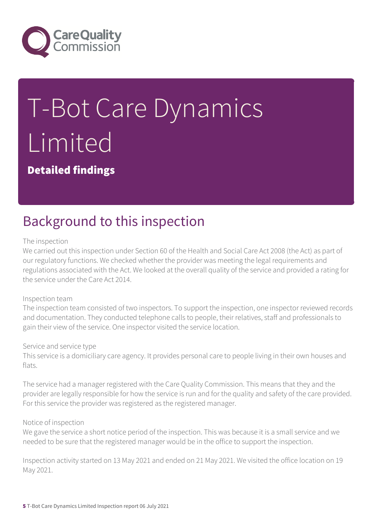

# T-Bot Care Dynamics Limited

Detailed findings

# Background to this inspection

#### The inspection

We carried out this inspection under Section 60 of the Health and Social Care Act 2008 (the Act) as part of our regulatory functions. We checked whether the provider was meeting the legal requirements and regulations associated with the Act. We looked at the overall quality of the service and provided a rating for the service under the Care Act 2014.

#### Inspection team

The inspection team consisted of two inspectors. To support the inspection, one inspector reviewed records and documentation. They conducted telephone calls to people, their relatives, staff and professionals to gain their view of the service. One inspector visited the service location.

#### Service and service type

This service is a domiciliary care agency. It provides personal care to people living in their own houses and flats.

The service had a manager registered with the Care Quality Commission. This means that they and the provider are legally responsible for how the service is run and for the quality and safety of the care provided. For this service the provider was registered as the registered manager.

#### Notice of inspection

We gave the service a short notice period of the inspection. This was because it is a small service and we needed to be sure that the registered manager would be in the office to support the inspection.

Inspection activity started on 13 May 2021 and ended on 21 May 2021. We visited the office location on 19 May 2021.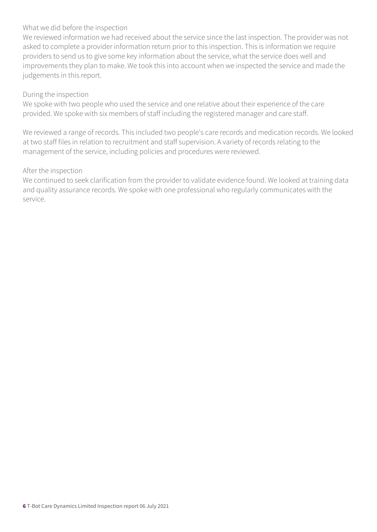#### What we did before the inspection

We reviewed information we had received about the service since the last inspection. The provider was not asked to complete a provider information return prior to this inspection. This is information we require providers to send us to give some key information about the service, what the service does well and improvements they plan to make. We took this into account when we inspected the service and made the judgements in this report.

#### During the inspection

We spoke with two people who used the service and one relative about their experience of the care provided. We spoke with six members of staff including the registered manager and care staff.

We reviewed a range of records. This included two people's care records and medication records. We looked at two staff files in relation to recruitment and staff supervision. A variety of records relating to the management of the service, including policies and procedures were reviewed.

#### After the inspection

We continued to seek clarification from the provider to validate evidence found. We looked at training data and quality assurance records. We spoke with one professional who regularly communicates with the service.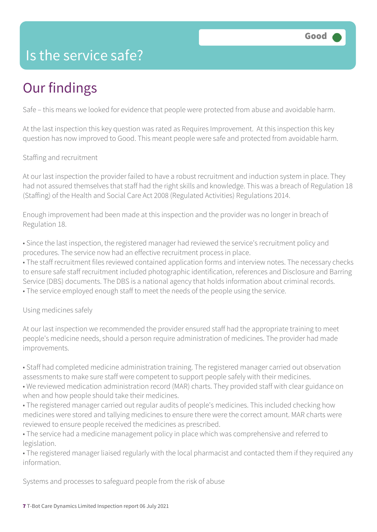### Is the service safe?

# Our findings

Safe – this means we looked for evidence that people were protected from abuse and avoidable harm.

At the last inspection this key question was rated as Requires Improvement. At this inspection this key question has now improved to Good. This meant people were safe and protected from avoidable harm.

Staffing and recruitment

At our last inspection the provider failed to have a robust recruitment and induction system in place. They had not assured themselves that staff had the right skills and knowledge. This was a breach of Regulation 18 (Staffing) of the Health and Social Care Act 2008 (Regulated Activities) Regulations 2014.

Enough improvement had been made at this inspection and the provider was no longer in breach of Regulation 18.

• Since the last inspection, the registered manager had reviewed the service's recruitment policy and procedures. The service now had an effective recruitment process in place.

• The staff recruitment files reviewed contained application forms and interview notes. The necessary checks to ensure safe staff recruitment included photographic identification, references and Disclosure and Barring Service (DBS) documents. The DBS is a national agency that holds information about criminal records. • The service employed enough staff to meet the needs of the people using the service.

Using medicines safely

At our last inspection we recommended the provider ensured staff had the appropriate training to meet people's medicine needs, should a person require administration of medicines. The provider had made improvements.

• Staff had completed medicine administration training. The registered manager carried out observation assessments to make sure staff were competent to support people safely with their medicines.

• We reviewed medication administration record (MAR) charts. They provided staff with clear guidance on when and how people should take their medicines.

• The registered manager carried out regular audits of people's medicines. This included checking how medicines were stored and tallying medicines to ensure there were the correct amount. MAR charts were reviewed to ensure people received the medicines as prescribed.

• The service had a medicine management policy in place which was comprehensive and referred to legislation.

• The registered manager liaised regularly with the local pharmacist and contacted them if they required any information.

Systems and processes to safeguard people from the risk of abuse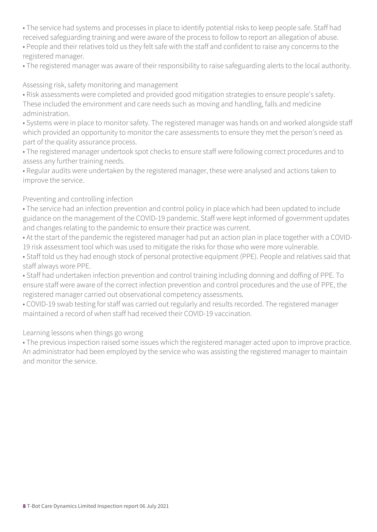• The service had systems and processes in place to identify potential risks to keep people safe. Staff had received safeguarding training and were aware of the process to follow to report an allegation of abuse.

• People and their relatives told us they felt safe with the staff and confident to raise any concerns to the registered manager.

• The registered manager was aware of their responsibility to raise safeguarding alerts to the local authority.

#### Assessing risk, safety monitoring and management

• Risk assessments were completed and provided good mitigation strategies to ensure people's safety. These included the environment and care needs such as moving and handling, falls and medicine administration.

• Systems were in place to monitor safety. The registered manager was hands on and worked alongside staff which provided an opportunity to monitor the care assessments to ensure they met the person's need as part of the quality assurance process.

• The registered manager undertook spot checks to ensure staff were following correct procedures and to assess any further training needs.

• Regular audits were undertaken by the registered manager, these were analysed and actions taken to improve the service.

#### Preventing and controlling infection

• The service had an infection prevention and control policy in place which had been updated to include guidance on the management of the COVID-19 pandemic. Staff were kept informed of government updates and changes relating to the pandemic to ensure their practice was current.

• At the start of the pandemic the registered manager had put an action plan in place together with a COVID-19 risk assessment tool which was used to mitigate the risks for those who were more vulnerable.

• Staff told us they had enough stock of personal protective equipment (PPE). People and relatives said that staff always wore PPE.

• Staff had undertaken infection prevention and control training including donning and doffing of PPE. To ensure staff were aware of the correct infection prevention and control procedures and the use of PPE, the registered manager carried out observational competency assessments.

• COVID-19 swab testing for staff was carried out regularly and results recorded. The registered manager maintained a record of when staff had received their COVID-19 vaccination.

#### Learning lessons when things go wrong

• The previous inspection raised some issues which the registered manager acted upon to improve practice. An administrator had been employed by the service who was assisting the registered manager to maintain and monitor the service.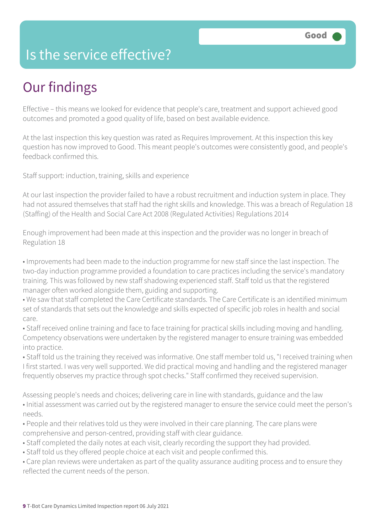### Is the service effective?

# Our findings

Effective – this means we looked for evidence that people's care, treatment and support achieved good outcomes and promoted a good quality of life, based on best available evidence.

At the last inspection this key question was rated as Requires Improvement. At this inspection this key question has now improved to Good. This meant people's outcomes were consistently good, and people's feedback confirmed this.

Staff support: induction, training, skills and experience

At our last inspection the provider failed to have a robust recruitment and induction system in place. They had not assured themselves that staff had the right skills and knowledge. This was a breach of Regulation 18 (Staffing) of the Health and Social Care Act 2008 (Regulated Activities) Regulations 2014

Enough improvement had been made at this inspection and the provider was no longer in breach of Regulation 18

• Improvements had been made to the induction programme for new staff since the last inspection. The two-day induction programme provided a foundation to care practices including the service's mandatory training. This was followed by new staff shadowing experienced staff. Staff told us that the registered manager often worked alongside them, guiding and supporting.

• We saw that staff completed the Care Certificate standards. The Care Certificate is an identified minimum set of standards that sets out the knowledge and skills expected of specific job roles in health and social care.

• Staff received online training and face to face training for practical skills including moving and handling. Competency observations were undertaken by the registered manager to ensure training was embedded into practice.

• Staff told us the training they received was informative. One staff member told us, "I received training when I first started. I was very well supported. We did practical moving and handling and the registered manager frequently observes my practice through spot checks." Staff confirmed they received supervision.

Assessing people's needs and choices; delivering care in line with standards, guidance and the law • Initial assessment was carried out by the registered manager to ensure the service could meet the person's needs.

• People and their relatives told us they were involved in their care planning. The care plans were comprehensive and person-centred, providing staff with clear guidance.

- Staff completed the daily notes at each visit, clearly recording the support they had provided.
- Staff told us they offered people choice at each visit and people confirmed this.

• Care plan reviews were undertaken as part of the quality assurance auditing process and to ensure they reflected the current needs of the person.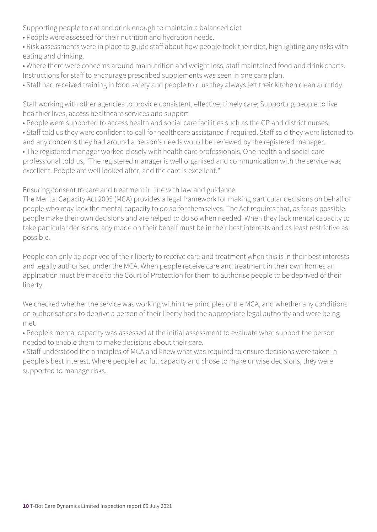Supporting people to eat and drink enough to maintain a balanced diet

• People were assessed for their nutrition and hydration needs.

• Risk assessments were in place to guide staff about how people took their diet, highlighting any risks with eating and drinking.

- Where there were concerns around malnutrition and weight loss, staff maintained food and drink charts. Instructions for staff to encourage prescribed supplements was seen in one care plan.
- Staff had received training in food safety and people told us they always left their kitchen clean and tidy.

Staff working with other agencies to provide consistent, effective, timely care; Supporting people to live healthier lives, access healthcare services and support

- People were supported to access health and social care facilities such as the GP and district nurses.
- Staff told us they were confident to call for healthcare assistance if required. Staff said they were listened to and any concerns they had around a person's needs would be reviewed by the registered manager.

• The registered manager worked closely with health care professionals. One health and social care professional told us, "The registered manager is well organised and communication with the service was excellent. People are well looked after, and the care is excellent."

Ensuring consent to care and treatment in line with law and guidance

The Mental Capacity Act 2005 (MCA) provides a legal framework for making particular decisions on behalf of people who may lack the mental capacity to do so for themselves. The Act requires that, as far as possible, people make their own decisions and are helped to do so when needed. When they lack mental capacity to take particular decisions, any made on their behalf must be in their best interests and as least restrictive as possible.

People can only be deprived of their liberty to receive care and treatment when this is in their best interests and legally authorised under the MCA. When people receive care and treatment in their own homes an application must be made to the Court of Protection for them to authorise people to be deprived of their liberty.

We checked whether the service was working within the principles of the MCA, and whether any conditions on authorisations to deprive a person of their liberty had the appropriate legal authority and were being met.

• People's mental capacity was assessed at the initial assessment to evaluate what support the person needed to enable them to make decisions about their care.

• Staff understood the principles of MCA and knew what was required to ensure decisions were taken in people's best interest. Where people had full capacity and chose to make unwise decisions, they were supported to manage risks.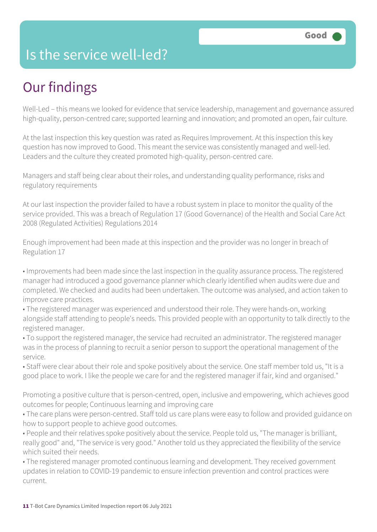### Is the service well-led?

# Our findings

Well-Led – this means we looked for evidence that service leadership, management and governance assured high-quality, person-centred care; supported learning and innovation; and promoted an open, fair culture.

At the last inspection this key question was rated as Requires Improvement. At this inspection this key question has now improved to Good. This meant the service was consistently managed and well-led. Leaders and the culture they created promoted high-quality, person-centred care.

Managers and staff being clear about their roles, and understanding quality performance, risks and regulatory requirements

At our last inspection the provider failed to have a robust system in place to monitor the quality of the service provided. This was a breach of Regulation 17 (Good Governance) of the Health and Social Care Act 2008 (Regulated Activities) Regulations 2014

Enough improvement had been made at this inspection and the provider was no longer in breach of Regulation 17

• Improvements had been made since the last inspection in the quality assurance process. The registered manager had introduced a good governance planner which clearly identified when audits were due and completed. We checked and audits had been undertaken. The outcome was analysed, and action taken to improve care practices.

• The registered manager was experienced and understood their role. They were hands-on, working alongside staff attending to people's needs. This provided people with an opportunity to talk directly to the registered manager.

- To support the registered manager, the service had recruited an administrator. The registered manager was in the process of planning to recruit a senior person to support the operational management of the service.
- Staff were clear about their role and spoke positively about the service. One staff member told us, "It is a good place to work. I like the people we care for and the registered manager if fair, kind and organised."

Promoting a positive culture that is person-centred, open, inclusive and empowering, which achieves good outcomes for people; Continuous learning and improving care

- The care plans were person-centred. Staff told us care plans were easy to follow and provided guidance on how to support people to achieve good outcomes.
- People and their relatives spoke positively about the service. People told us, "The manager is brilliant, really good" and, "The service is very good." Another told us they appreciated the flexibility of the service which suited their needs.
- The registered manager promoted continuous learning and development. They received government updates in relation to COVID-19 pandemic to ensure infection prevention and control practices were current.